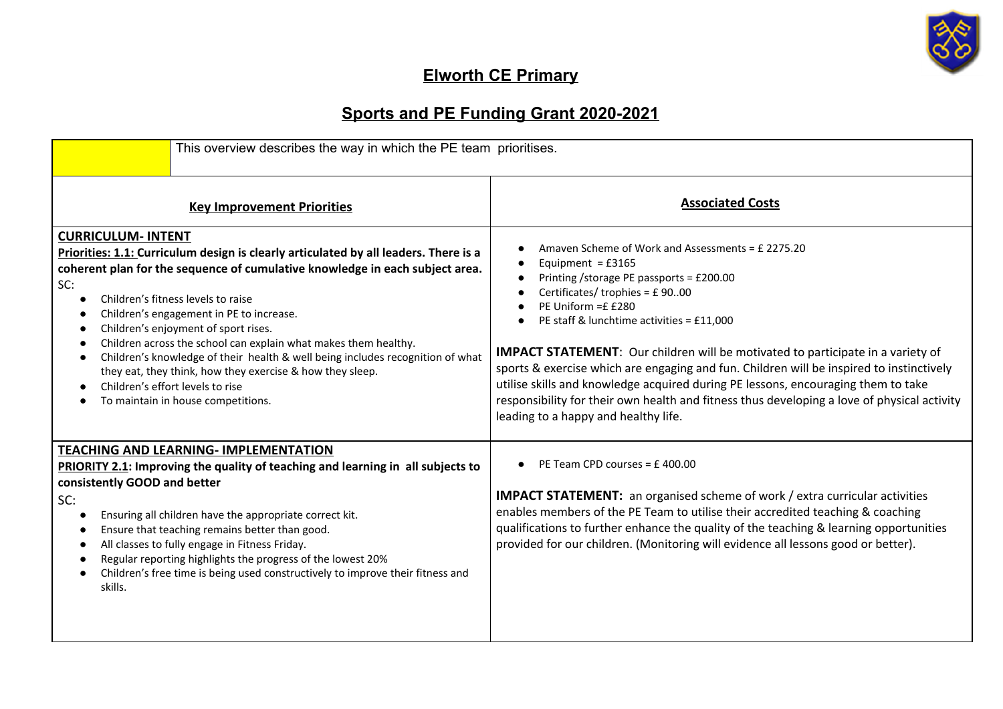

## **Elworth CE Primary**

## **Sports and PE Funding Grant 2020-2021**

| This overview describes the way in which the PE team prioritises.                                                                                                                                                                                                                                                                                                                                                                                                                                                                                                                                                                                                            |                                                                                                                                                                                                                                                                                                                                                                                                                                                                                                                                                                                                                                      |
|------------------------------------------------------------------------------------------------------------------------------------------------------------------------------------------------------------------------------------------------------------------------------------------------------------------------------------------------------------------------------------------------------------------------------------------------------------------------------------------------------------------------------------------------------------------------------------------------------------------------------------------------------------------------------|--------------------------------------------------------------------------------------------------------------------------------------------------------------------------------------------------------------------------------------------------------------------------------------------------------------------------------------------------------------------------------------------------------------------------------------------------------------------------------------------------------------------------------------------------------------------------------------------------------------------------------------|
| <b>Key Improvement Priorities</b>                                                                                                                                                                                                                                                                                                                                                                                                                                                                                                                                                                                                                                            | <b>Associated Costs</b>                                                                                                                                                                                                                                                                                                                                                                                                                                                                                                                                                                                                              |
| <b>CURRICULUM- INTENT</b><br><b>Priorities: 1.1:</b> Curriculum design is clearly articulated by all leaders. There is a<br>coherent plan for the sequence of cumulative knowledge in each subject area.<br>SC:<br>Children's fitness levels to raise<br>$\bullet$<br>Children's engagement in PE to increase.<br>Children's enjoyment of sport rises.<br>Children across the school can explain what makes them healthy.<br>$\bullet$<br>Children's knowledge of their health & well being includes recognition of what<br>$\bullet$<br>they eat, they think, how they exercise & how they sleep.<br>Children's effort levels to rise<br>To maintain in house competitions. | Amaven Scheme of Work and Assessments = £ 2275.20<br>Equipment = $£3165$<br>Printing /storage PE passports = £200.00<br>Certificates/ trophies = £9000<br>PE Uniform =£ £280<br>PE staff & lunchtime activities = £11,000<br>IMPACT STATEMENT: Our children will be motivated to participate in a variety of<br>sports & exercise which are engaging and fun. Children will be inspired to instinctively<br>utilise skills and knowledge acquired during PE lessons, encouraging them to take<br>responsibility for their own health and fitness thus developing a love of physical activity<br>leading to a happy and healthy life. |
| <b>TEACHING AND LEARNING- IMPLEMENTATION</b><br><b>PRIORITY 2.1:</b> Improving the quality of teaching and learning in all subjects to<br>consistently GOOD and better<br>SC:<br>Ensuring all children have the appropriate correct kit.<br>$\bullet$<br>Ensure that teaching remains better than good.<br>с<br>All classes to fully engage in Fitness Friday.<br>Regular reporting highlights the progress of the lowest 20%<br>Children's free time is being used constructively to improve their fitness and<br>$\bullet$<br>skills.                                                                                                                                      | PE Team CPD courses = £400.00<br><b>IMPACT STATEMENT:</b> an organised scheme of work / extra curricular activities<br>enables members of the PE Team to utilise their accredited teaching & coaching<br>qualifications to further enhance the quality of the teaching & learning opportunities<br>provided for our children. (Monitoring will evidence all lessons good or better).                                                                                                                                                                                                                                                 |